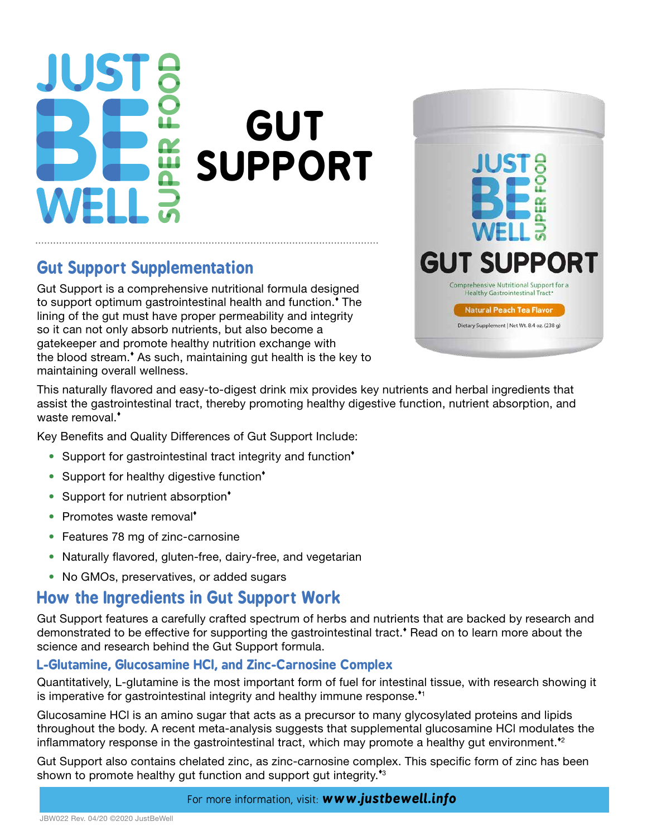# **JST GUT SUPPORT**

## **Gut Support Supplementation**

Gut Support is a comprehensive nutritional formula designed to support optimum gastrointestinal health and function.<sup>\*</sup> The lining of the gut must have proper permeability and integrity so it can not only absorb nutrients, but also become a gatekeeper and promote healthy nutrition exchange with the blood stream.<sup>\*</sup> As such, maintaining gut health is the key to maintaining overall wellness.



This naturally flavored and easy-to-digest drink mix provides key nutrients and herbal ingredients that assist the gastrointestinal tract, thereby promoting healthy digestive function, nutrient absorption, and waste removal.<sup>\*</sup>

Key Benefits and Quality Differences of Gut Support Include:

- Support for gastrointestinal tract integrity and function<sup>\*</sup>
- Support for healthy digestive function<sup>\*</sup>
- Support for nutrient absorption<sup>\*</sup>
- Promotes waste removal<sup>\*</sup>
- Features 78 mg of zinc-carnosine
- Naturally flavored, gluten-free, dairy-free, and vegetarian
- No GMOs, preservatives, or added sugars

### **How the Ingredients in Gut Support Work**

Gut Support features a carefully crafted spectrum of herbs and nutrients that are backed by research and demonstrated to be effective for supporting the gastrointestinal tract. Read on to learn more about the science and research behind the Gut Support formula.

#### **L-Glutamine, Glucosamine HCl, and Zinc-Carnosine Complex**

Quantitatively, L-glutamine is the most important form of fuel for intestinal tissue, with research showing it is imperative for gastrointestinal integrity and healthy immune response.<sup> $*$ 1</sup>

Glucosamine HCl is an amino sugar that acts as a precursor to many glycosylated proteins and lipids throughout the body. A recent meta-analysis suggests that supplemental glucosamine HCl modulates the inflammatory response in the gastrointestinal tract, which may promote a healthy gut environment.<sup>\*2</sup>

Gut Support also contains chelated zinc, as zinc-carnosine complex. This specific form of zinc has been shown to promote healthy gut function and support gut integrity.<sup>43</sup>

#### For more information, visit: *www.justbewell.info*